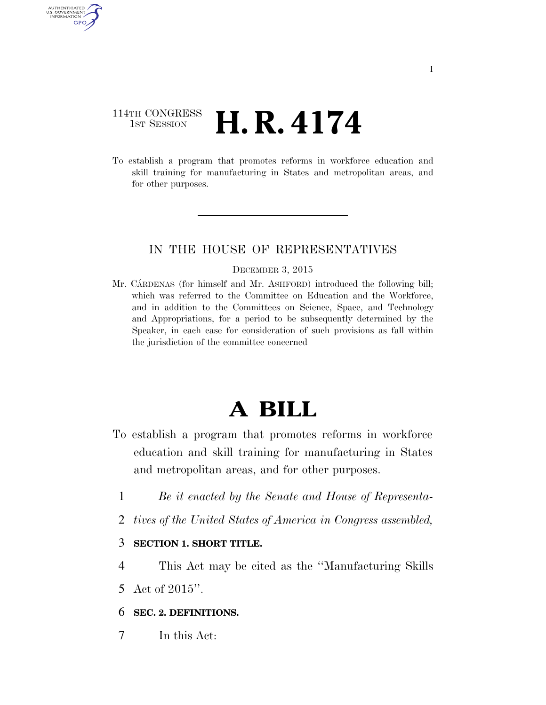## 114TH CONGRESS 1st Session **H. R. 4174**

AUTHENTICATED U.S. GOVERNMENT GPO

> To establish a program that promotes reforms in workforce education and skill training for manufacturing in States and metropolitan areas, and for other purposes.

### IN THE HOUSE OF REPRESENTATIVES

#### DECEMBER 3, 2015

Mr. CARDENAS (for himself and Mr. ASHFORD) introduced the following bill; which was referred to the Committee on Education and the Workforce, and in addition to the Committees on Science, Space, and Technology and Appropriations, for a period to be subsequently determined by the Speaker, in each case for consideration of such provisions as fall within the jurisdiction of the committee concerned

# **A BILL**

- To establish a program that promotes reforms in workforce education and skill training for manufacturing in States and metropolitan areas, and for other purposes.
	- 1 *Be it enacted by the Senate and House of Representa-*
	- 2 *tives of the United States of America in Congress assembled,*

### 3 **SECTION 1. SHORT TITLE.**

4 This Act may be cited as the ''Manufacturing Skills 5 Act of 2015''.

## 6 **SEC. 2. DEFINITIONS.**

7 In this Act: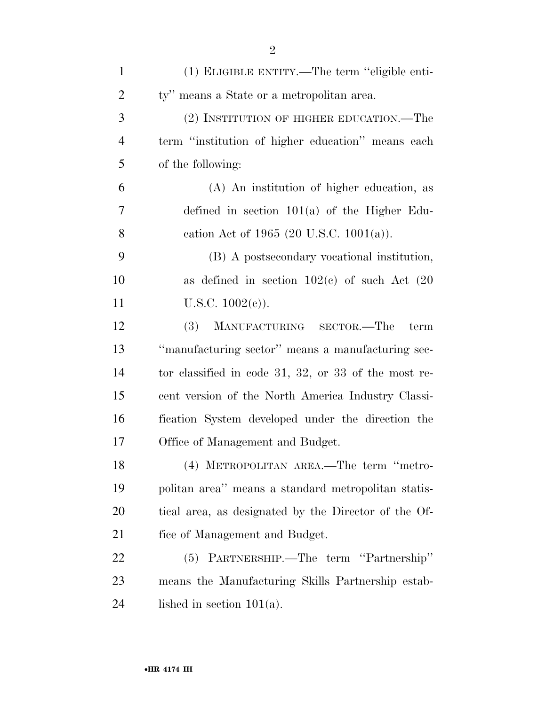| $\mathbf{1}$   | (1) ELIGIBLE ENTITY.—The term "eligible enti-            |
|----------------|----------------------------------------------------------|
| $\overline{2}$ | ty" means a State or a metropolitan area.                |
| 3              | (2) INSTITUTION OF HIGHER EDUCATION.—The                 |
| $\overline{4}$ | term "institution of higher education" means each        |
| 5              | of the following:                                        |
| 6              | (A) An institution of higher education, as               |
| 7              | defined in section $101(a)$ of the Higher Edu-           |
| 8              | cation Act of 1965 (20 U.S.C. 1001(a)).                  |
| 9              | (B) A postsecondary vocational institution,              |
| 10             | as defined in section $102(c)$ of such Act $(20)$        |
| 11             | U.S.C. $1002(e)$ ).                                      |
| 12             | (3)<br>MANUFACTURING SECTOR.—The<br>term                 |
| 13             | "manufacturing sector" means a manufacturing sec-        |
| 14             | tor classified in code $31, 32,$ or $33$ of the most re- |
| 15             | cent version of the North America Industry Classi-       |
| 16             | fication System developed under the direction the        |
| 17             | Office of Management and Budget.                         |
| 18             | (4) METROPOLITAN AREA.—The term "metro-                  |
| 19             | politan area" means a standard metropolitan statis-      |
| 20             | tical area, as designated by the Director of the Of-     |
| 21             | fice of Management and Budget.                           |
| 22             | (5) PARTNERSHIP.—The term "Partnership"                  |
| 23             | means the Manufacturing Skills Partnership estab-        |
| 24             | lished in section $101(a)$ .                             |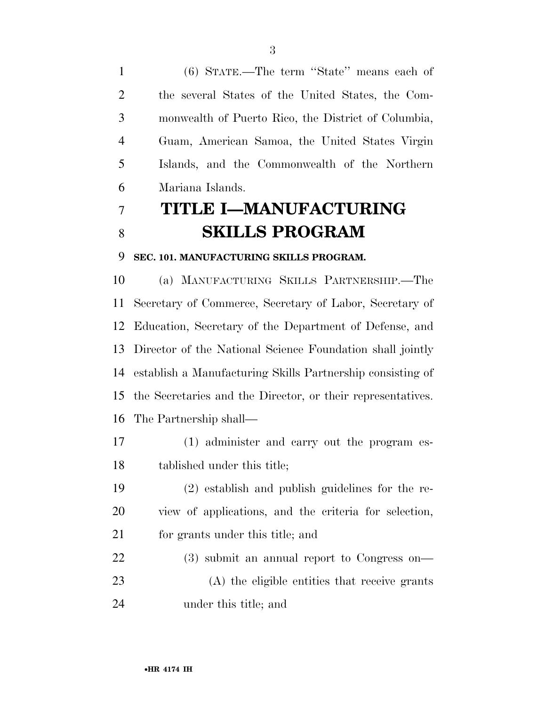(6) STATE.—The term ''State'' means each of the several States of the United States, the Com- monwealth of Puerto Rico, the District of Columbia, Guam, American Samoa, the United States Virgin Islands, and the Commonwealth of the Northern Mariana Islands.

## **TITLE I—MANUFACTURING SKILLS PROGRAM**

#### **SEC. 101. MANUFACTURING SKILLS PROGRAM.**

 (a) MANUFACTURING SKILLS PARTNERSHIP.—The Secretary of Commerce, Secretary of Labor, Secretary of Education, Secretary of the Department of Defense, and Director of the National Science Foundation shall jointly establish a Manufacturing Skills Partnership consisting of the Secretaries and the Director, or their representatives. The Partnership shall—

- (1) administer and carry out the program es-tablished under this title;
- (2) establish and publish guidelines for the re- view of applications, and the criteria for selection, 21 for grants under this title; and
- (3) submit an annual report to Congress on— (A) the eligible entities that receive grants under this title; and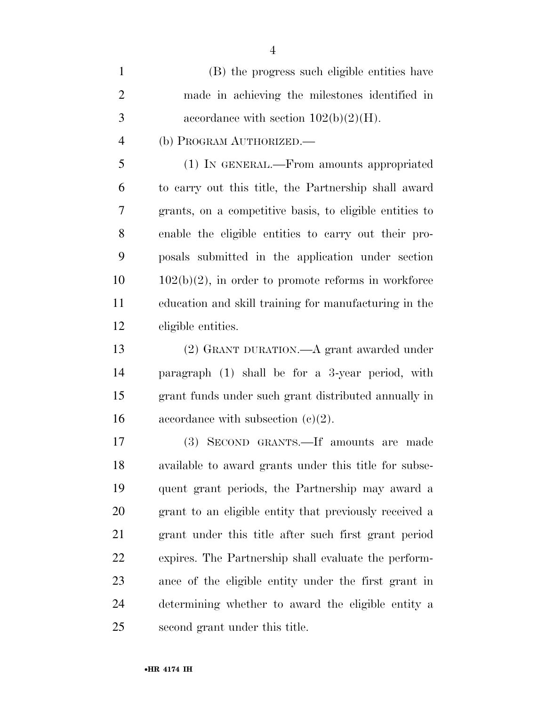| $\mathbf{1}$   | (B) the progress such eligible entities have            |
|----------------|---------------------------------------------------------|
| 2              | made in achieving the milestones identified in          |
| 3              | accordance with section $102(b)(2)(H)$ .                |
| $\overline{4}$ | (b) PROGRAM AUTHORIZED.—                                |
| -5             | (1) IN GENERAL.—From amounts appropriated               |
| 6              | to carry out this title, the Partnership shall award    |
| 7              | grants, on a competitive basis, to eligible entities to |
| 8              | enable the eligible entities to carry out their pro-    |

 enable the eligible entities to carry out their pro- posals submitted in the application under section  $10 \qquad 102(b)(2)$ , in order to promote reforms in workforce education and skill training for manufacturing in the eligible entities.

 (2) GRANT DURATION.—A grant awarded under paragraph (1) shall be for a 3-year period, with grant funds under such grant distributed annually in 16 accordance with subsection  $(e)(2)$ .

 (3) SECOND GRANTS.—If amounts are made available to award grants under this title for subse- quent grant periods, the Partnership may award a grant to an eligible entity that previously received a grant under this title after such first grant period expires. The Partnership shall evaluate the perform- ance of the eligible entity under the first grant in determining whether to award the eligible entity a second grant under this title.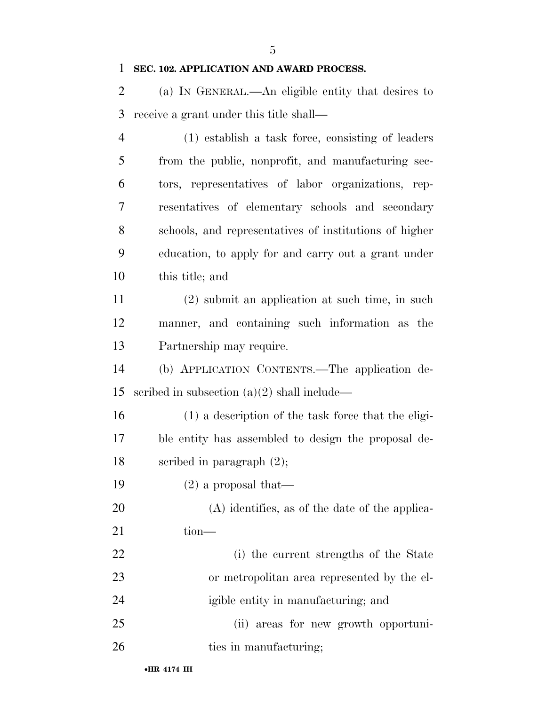**SEC. 102. APPLICATION AND AWARD PROCESS.** 

 (a) IN GENERAL.—An eligible entity that desires to receive a grant under this title shall—

 (1) establish a task force, consisting of leaders from the public, nonprofit, and manufacturing sec- tors, representatives of labor organizations, rep- resentatives of elementary schools and secondary schools, and representatives of institutions of higher education, to apply for and carry out a grant under this title; and

 (2) submit an application at such time, in such manner, and containing such information as the Partnership may require.

 (b) APPLICATION CONTENTS.—The application de-scribed in subsection (a)(2) shall include—

 (1) a description of the task force that the eligi- ble entity has assembled to design the proposal de-scribed in paragraph (2);

(2) a proposal that—

 (A) identifies, as of the date of the applica-21 tion—

 (i) the current strengths of the State or metropolitan area represented by the el-igible entity in manufacturing; and

 (ii) areas for new growth opportuni-26 ties in manufacturing;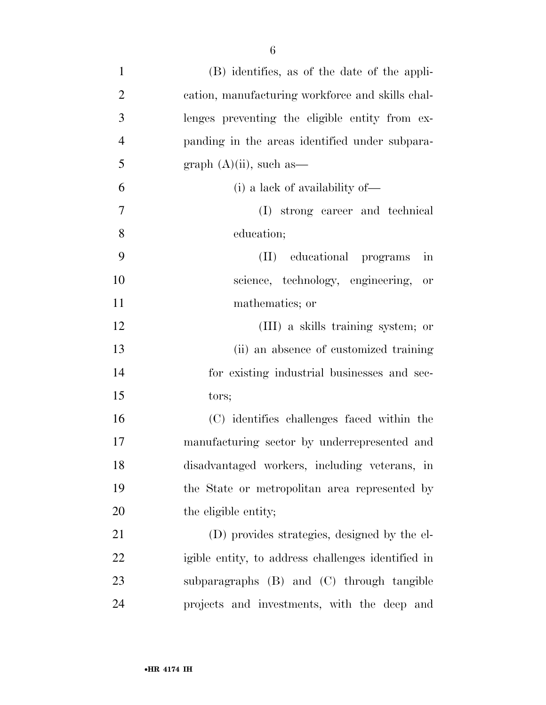(B) identifies, as of the date of the appli- cation, manufacturing workforce and skills chal- lenges preventing the eligible entity from ex- panding in the areas identified under subpara-5 graph  $(A)(ii)$ , such as (i) a lack of availability of— (I) strong career and technical education; (II) educational programs in science, technology, engineering, or 11 mathematics; or (III) a skills training system; or (ii) an absence of customized training for existing industrial businesses and sec- tors; (C) identifies challenges faced within the manufacturing sector by underrepresented and disadvantaged workers, including veterans, in the State or metropolitan area represented by 20 the eligible entity; (D) provides strategies, designed by the el-

 igible entity, to address challenges identified in subparagraphs (B) and (C) through tangible projects and investments, with the deep and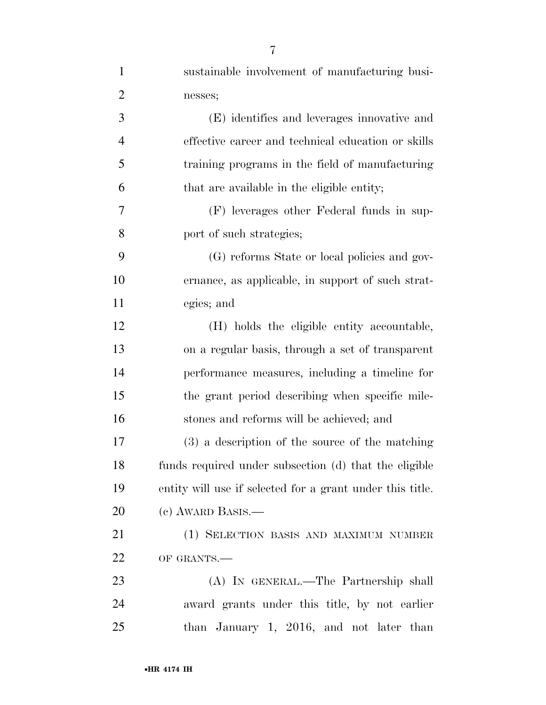| $\mathbf{1}$   | sustainable involvement of manufacturing busi-            |
|----------------|-----------------------------------------------------------|
| $\overline{2}$ | nesses;                                                   |
| 3              | (E) identifies and leverages innovative and               |
| $\overline{4}$ | effective career and technical education or skills        |
| 5              | training programs in the field of manufacturing           |
| 6              | that are available in the eligible entity;                |
| 7              | (F) leverages other Federal funds in sup-                 |
| 8              | port of such strategies;                                  |
| 9              | (G) reforms State or local policies and gov-              |
| 10             | ernance, as applicable, in support of such strat-         |
| 11             | egies; and                                                |
| 12             | (H) holds the eligible entity accountable,                |
| 13             | on a regular basis, through a set of transparent          |
| 14             | performance measures, including a timeline for            |
| 15             | the grant period describing when specific mile-           |
| 16             | stones and reforms will be achieved; and                  |
| 17             | (3) a description of the source of the matching           |
| 18             | funds required under subsection (d) that the eligible     |
| 19             | entity will use if selected for a grant under this title. |
| 20             | (c) AWARD BASIS.—                                         |
| 21             | (1) SELECTION BASIS AND MAXIMUM NUMBER                    |
| 22             | OF GRANTS.-                                               |
| 23             | (A) IN GENERAL.—The Partnership shall                     |
| 24             | award grants under this title, by not earlier             |
| 25             | than January 1, 2016, and not later than                  |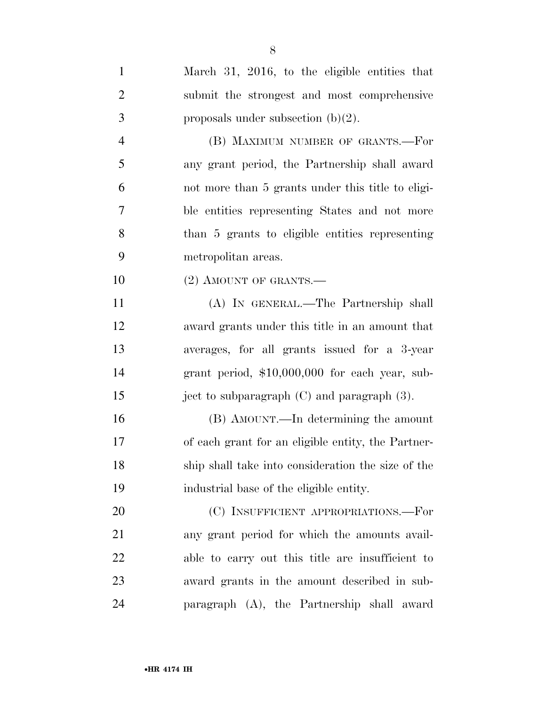| $\mathbf{1}$   | March 31, 2016, to the eligible entities that      |
|----------------|----------------------------------------------------|
| $\overline{2}$ | submit the strongest and most comprehensive        |
| 3              | proposals under subsection $(b)(2)$ .              |
| $\overline{4}$ | (B) MAXIMUM NUMBER OF GRANTS.-For                  |
| 5              | any grant period, the Partnership shall award      |
| 6              | not more than 5 grants under this title to eligi-  |
| 7              | ble entities representing States and not more      |
| 8              | than 5 grants to eligible entities representing    |
| 9              | metropolitan areas.                                |
| 10             | $(2)$ AMOUNT OF GRANTS.—                           |
| 11             | (A) IN GENERAL.—The Partnership shall              |
| 12             | award grants under this title in an amount that    |
| 13             | averages, for all grants issued for a 3-year       |
| 14             | grant period, \$10,000,000 for each year, sub-     |
| 15             | ject to subparagraph $(C)$ and paragraph $(3)$ .   |
| 16             | (B) AMOUNT.—In determining the amount              |
| 17             | of each grant for an eligible entity, the Partner- |
| 18             | ship shall take into consideration the size of the |
| 19             | industrial base of the eligible entity.            |
| 20             | (C) INSUFFICIENT APPROPRIATIONS.-For               |
| 21             | any grant period for which the amounts avail-      |
| 22             | able to carry out this title are insufficient to   |
| 23             | award grants in the amount described in sub-       |
| 24             | paragraph (A), the Partnership shall award         |

•**HR 4174 IH**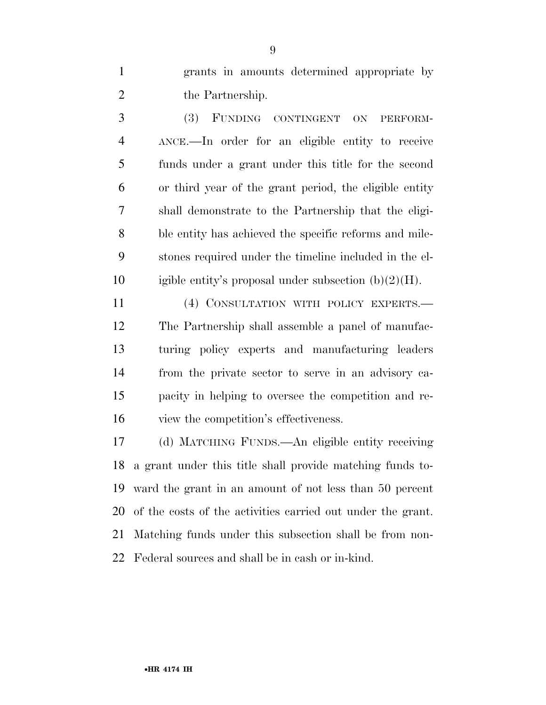grants in amounts determined appropriate by 2 the Partnership.

 (3) FUNDING CONTINGENT ON PERFORM- ANCE.—In order for an eligible entity to receive funds under a grant under this title for the second or third year of the grant period, the eligible entity shall demonstrate to the Partnership that the eligi- ble entity has achieved the specific reforms and mile- stones required under the timeline included in the el-10 igible entity's proposal under subsection  $(b)(2)(H)$ .

 (4) CONSULTATION WITH POLICY EXPERTS.— The Partnership shall assemble a panel of manufac- turing policy experts and manufacturing leaders from the private sector to serve in an advisory ca- pacity in helping to oversee the competition and re-view the competition's effectiveness.

 (d) MATCHING FUNDS.—An eligible entity receiving a grant under this title shall provide matching funds to- ward the grant in an amount of not less than 50 percent of the costs of the activities carried out under the grant. Matching funds under this subsection shall be from non-Federal sources and shall be in cash or in-kind.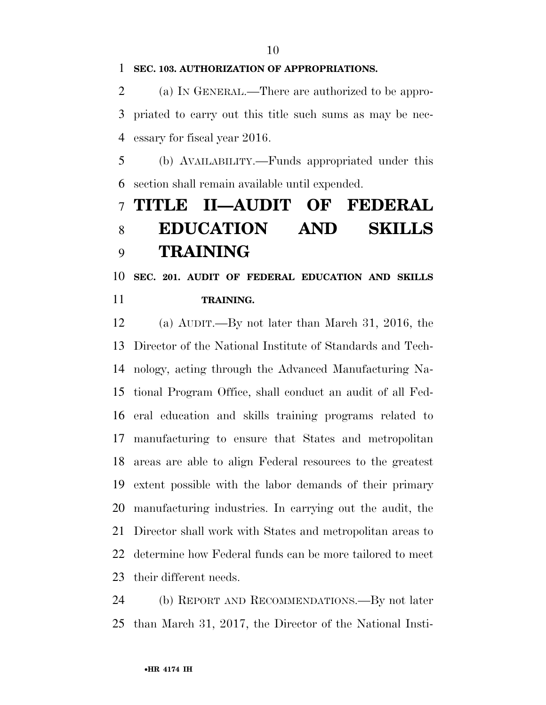**SEC. 103. AUTHORIZATION OF APPROPRIATIONS.** 

 (a) IN GENERAL.—There are authorized to be appro- priated to carry out this title such sums as may be nec-essary for fiscal year 2016.

 (b) AVAILABILITY.—Funds appropriated under this section shall remain available until expended.

## **TITLE II—AUDIT OF FEDERAL EDUCATION AND SKILLS TRAINING**

## **SEC. 201. AUDIT OF FEDERAL EDUCATION AND SKILLS TRAINING.**

 (a) AUDIT.—By not later than March 31, 2016, the Director of the National Institute of Standards and Tech- nology, acting through the Advanced Manufacturing Na- tional Program Office, shall conduct an audit of all Fed- eral education and skills training programs related to manufacturing to ensure that States and metropolitan areas are able to align Federal resources to the greatest extent possible with the labor demands of their primary manufacturing industries. In carrying out the audit, the Director shall work with States and metropolitan areas to determine how Federal funds can be more tailored to meet their different needs.

 (b) REPORT AND RECOMMENDATIONS.—By not later than March 31, 2017, the Director of the National Insti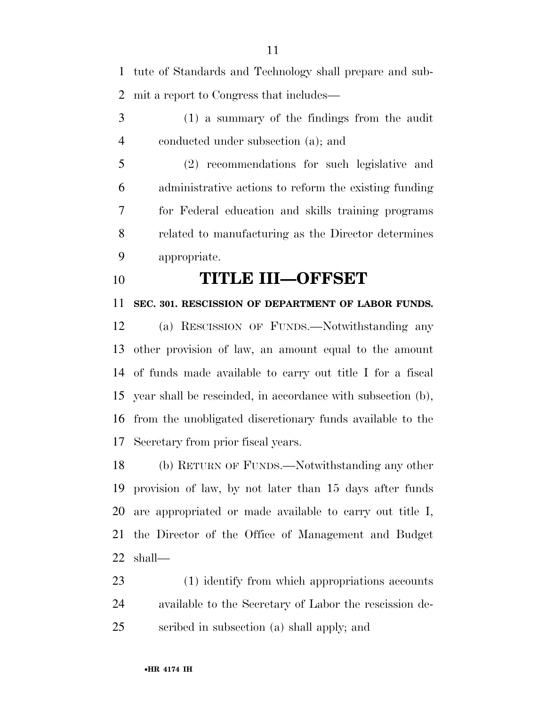tute of Standards and Technology shall prepare and sub-mit a report to Congress that includes—

 (1) a summary of the findings from the audit conducted under subsection (a); and

 (2) recommendations for such legislative and administrative actions to reform the existing funding for Federal education and skills training programs related to manufacturing as the Director determines appropriate.

**TITLE III—OFFSET** 

**SEC. 301. RESCISSION OF DEPARTMENT OF LABOR FUNDS.** 

 (a) RESCISSION OF FUNDS.—Notwithstanding any other provision of law, an amount equal to the amount of funds made available to carry out title I for a fiscal year shall be rescinded, in accordance with subsection (b), from the unobligated discretionary funds available to the Secretary from prior fiscal years.

 (b) RETURN OF FUNDS.—Notwithstanding any other provision of law, by not later than 15 days after funds are appropriated or made available to carry out title I, the Director of the Office of Management and Budget shall—

 (1) identify from which appropriations accounts available to the Secretary of Labor the rescission de-scribed in subsection (a) shall apply; and